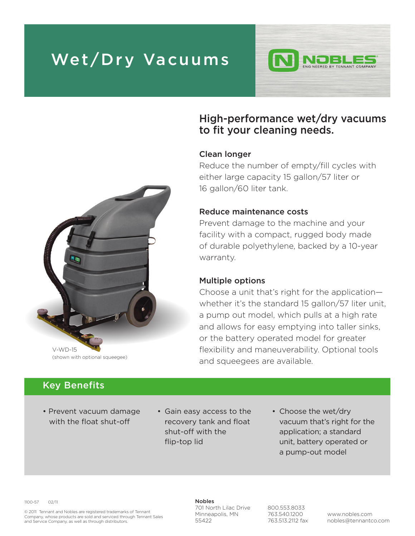# **Wet/Dry Vacuums**



### **High-performance wet/dry vacuums to fit your cleaning needs.**

#### **Clean longer**

Reduce the number of empty/fill cycles with either large capacity 15 gallon/57 liter or 16 gallon/60 liter tank.

#### **Reduce maintenance costs**

Prevent damage to the machine and your facility with a compact, rugged body made of durable polyethylene, backed by a 10-year warranty.

#### **Multiple options**

Choose a unit that's right for the application whether it's the standard 15 gallon/57 liter unit, a pump out model, which pulls at a high rate and allows for easy emptying into taller sinks, or the battery operated model for greater flexibility and maneuverability. Optional tools and squeegees are available.



### **Key Benefits**

- Prevent vacuum damage with the float shut-off
- Gain easy access to the recovery tank and float shut-off with the flip-top lid
- Choose the wet/dry vacuum that's right for the application; a standard unit, battery operated or a pump-out model

1100-57 02/11

© 2011 Tennant and Nobles are registered trademarks of Tennant Company, whose products are sold and serviced through Tennant Sales and Service Company, as well as through distributors.

**Nobles** 701 North Lilac Drive Minneapolis, MN 55422

800.553.8033 763.540.1200 763.513.2112 fax

www.nobles.com nobles@tennantco.com